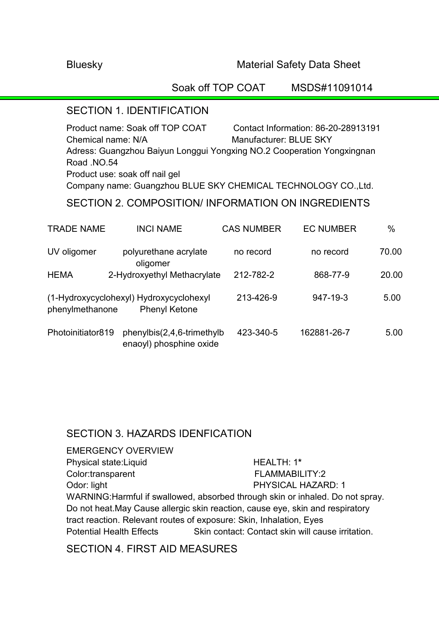### Bluesky Material Safety Data Sheet

Soak off TOP COAT MSDS#11091014

### SECTION 1. IDENTIFICATION

Product name: Soak off TOP COAT Contact Information: 86-20-28913191 Chemical name: N/A Manufacturer: BLUE SKY Adress: Guangzhou Baiyun Longgui Yongxing NO.2 Cooperation Yongxingnan Road .NO.54 Product use: soak off nail gel Company name: Guangzhou BLUE SKY CHEMICAL TECHNOLOGY CO.,Ltd.

## SECTION 2. COMPOSITION/ INFORMATION ON INGREDIENTS

| <b>TRADE NAME</b> | <b>INCI NAME</b>                                                | <b>CAS NUMBER</b> | <b>EC NUMBER</b> | $\%$  |
|-------------------|-----------------------------------------------------------------|-------------------|------------------|-------|
| UV oligomer       | polyurethane acrylate<br>oligomer                               | no record         | no record        | 70.00 |
| <b>HEMA</b>       | 2-Hydroxyethyl Methacrylate                                     | 212-782-2         | 868-77-9         | 20.00 |
| phenylmethanone   | (1-Hydroxycyclohexyl) Hydroxycyclohexyl<br><b>Phenyl Ketone</b> | 213-426-9         | 947-19-3         | 5.00  |
| Photoinitiator819 | phenylbis(2,4,6-trimethylb<br>enaoyl) phosphine oxide           | 423-340-5         | 162881-26-7      | 5.00  |

## SECTION 3. HAZARDS IDENFICATION

EMERGENCY OVERVIEW Physical state:Liquid **HEALTH: 1\*** Color:transparent FLAMMABILITY:2 Odor: light **PHYSICAL HAZARD: 1** WARNING:Harmful if swallowed, absorbed through skin or inhaled. Do not spray. Do not heat.May Cause allergic skin reaction, cause eye, skin and respiratory tract reaction. Relevant routes of exposure: Skin, Inhalation, Eyes Potential Health Effects Skin contact: Contact skin will cause irritation.

## SECTION 4. FIRST AID MEASURES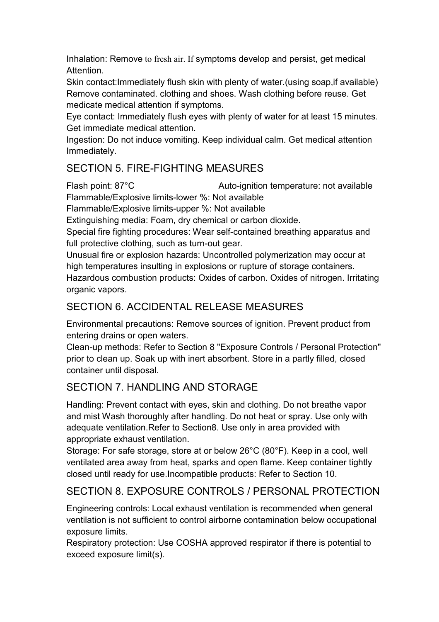Inhalation: Remove to fresh air. If symptoms develop and persist, get medical Attention.

Skin contact:Immediately flush skin with plenty of water.(using soap,if available) Remove contaminated. clothing and shoes. Wash clothing before reuse. Get medicate medical attention if symptoms.

Eye contact: Immediately flush eyes with plenty of water for at least 15 minutes. Get immediate medical attention.

Ingestion: Do not induce vomiting. Keep individual calm. Get medical attention Immediately.

# SECTION 5. FIRE-FIGHTING MEASURES

Flash point: 87°C Auto-ignition temperature: not available Flammable/Explosive limits-lower %: Not available

Flammable/Explosive limits-upper %: Not available

Extinguishing media: Foam, dry chemical or carbon dioxide.

Special fire fighting procedures: Wear self-contained breathing apparatus and full protective clothing, such as turn-out gear.

Unusual fire or explosion hazards: Uncontrolled polymerization may occur at high temperatures insulting in explosions or rupture of storage containers. Hazardous combustion products: Oxides of carbon. Oxides of nitrogen. Irritating organic vapors.

## SECTION 6. ACCIDENTAL RELEASE MEASURES

Environmental precautions: Remove sources of ignition. Prevent product from entering drains or open waters.

Clean-up methods: Refer to Section 8 "Exposure Controls / Personal Protection" prior to clean up. Soak up with inert absorbent. Store in a partly filled, closed container until disposal.

# SECTION 7. HANDLING AND STORAGE

Handling: Prevent contact with eyes, skin and clothing. Do not breathe vapor and mist Wash thoroughly after handling. Do not heat or spray. Use only with adequate ventilation.Refer to Section8. Use only in area provided with appropriate exhaust ventilation.

Storage: For safe storage, store at or below 26°C (80°F). Keep in a cool, well ventilated area away from heat, sparks and open flame. Keep container tightly closed until ready for use.Incompatible products: Refer to Section 10.

# SECTION 8. EXPOSURE CONTROLS / PERSONAL PROTECTION

Engineering controls: Local exhaust ventilation is recommended when general ventilation is not sufficient to control airborne contamination below occupational exposure limits.

Respiratory protection: Use COSHA approved respirator if there is potential to exceed exposure limit(s).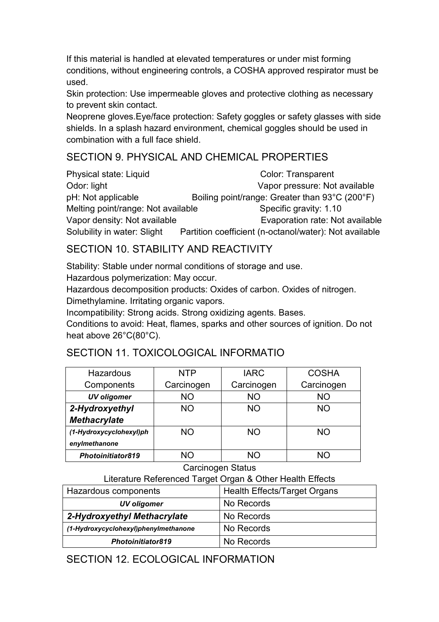If this material is handled at elevated temperatures or under mist forming conditions, without engineering controls, a COSHA approved respirator must be used.

Skin protection: Use impermeable gloves and protective clothing as necessary to prevent skin contact.

Neoprene gloves.Eye/face protection: Safety goggles or safety glasses with side shields. In a splash hazard environment, chemical goggles should be used in combination with a full face shield.

## SECTION 9. PHYSICAL AND CHEMICAL PROPERTIES

Physical state: Liquid Color: Transparent Odor: light Vapor pressure: Not available pH: Not applicable Boiling point/range: Greater than 93°C (200°F) Melting point/range: Not available Specific gravity: 1.10 Vapor density: Not available **Evaporation rate: Not available** Solubility in water: Slight Partition coefficient (n-octanol/water): Not available

# SECTION 10 STABILITY AND REACTIVITY

Stability: Stable under normal conditions of storage and use.

Hazardous polymerization: May occur.

Hazardous decomposition products: Oxides of carbon. Oxides of nitrogen. Dimethylamine. Irritating organic vapors.

Incompatibility: Strong acids. Strong oxidizing agents. Bases.

Conditions to avoid: Heat, flames, sparks and other sources of ignition. Do not heat above 26°C(80°C).

# SECTION 11. TOXICOLOGICAL INFORMATIO

| Hazardous               | <b>NTP</b> | <b>IARC</b> | <b>COSHA</b> |
|-------------------------|------------|-------------|--------------|
| Components              | Carcinogen | Carcinogen  | Carcinogen   |
| <b>UV</b> oligomer      | <b>NO</b>  | <b>NO</b>   | <b>NO</b>    |
| 2-Hydroxyethyl          | <b>NO</b>  | <b>NO</b>   | <b>NO</b>    |
| <b>Methacrylate</b>     |            |             |              |
| (1-Hydroxycyclohexyl)ph | <b>NO</b>  | <b>NO</b>   | <b>NO</b>    |
| enylmethanone           |            |             |              |
| Photoinitiator819       | NΟ         | NΟ          | NΟ           |

### Carcinogen Status

## Literature Referenced Target Organ & Other Health Effects

| Hazardous components                 | Health Effects/Target Organs |  |
|--------------------------------------|------------------------------|--|
| UV oligomer                          | No Records                   |  |
| 2-Hydroxyethyl Methacrylate          | No Records                   |  |
| (1-Hydroxycyclohexyl)phenylmethanone | No Records                   |  |
| <b>Photoinitiator819</b>             | No Records                   |  |

# SECTION 12. ECOLOGICAL INFORMATION